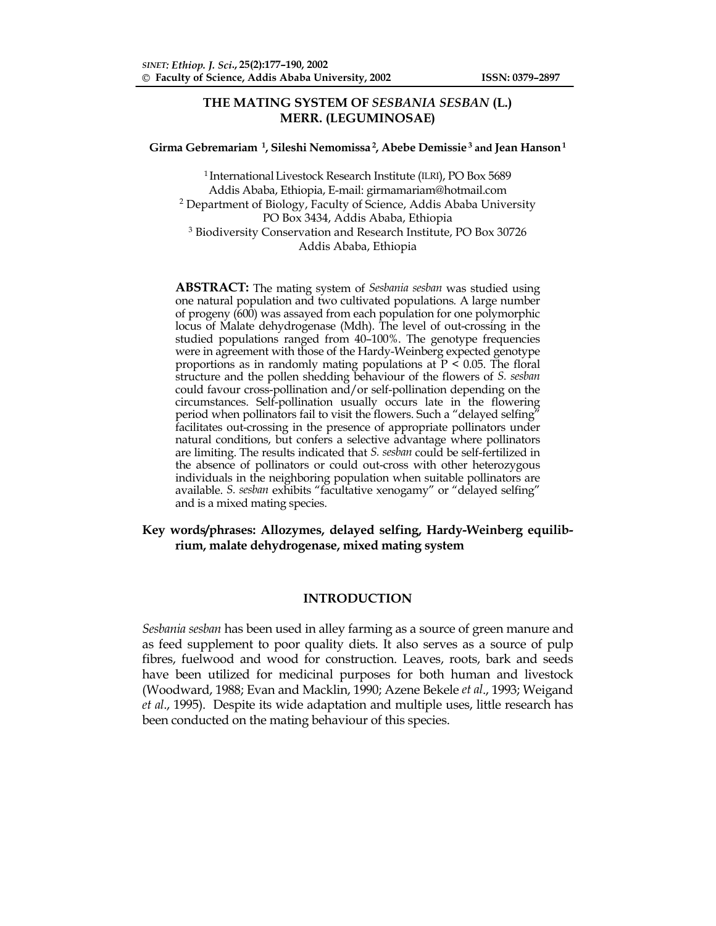# **THE MATING SYSTEM OF** *SESBANIA SESBAN* **(L.) MERR. (LEGUMINOSAE)**

#### **Girma Gebremariam 1, Sileshi Nemomissa 2, Abebe Demissie 3 and Jean Hanson 1**

<sup>1</sup> International Livestock Research Institute (ILRI), PO Box 5689 Addis Ababa, Ethiopia, E-mail: girmamariam@hotmail.com <sup>2</sup> Department of Biology, Faculty of Science, Addis Ababa University PO Box 3434, Addis Ababa, Ethiopia 3 Biodiversity Conservation and Research Institute, PO Box 30726 Addis Ababa, Ethiopia

**ABSTRACT:** The mating system of *Sesbania sesban* was studied using one natural population and two cultivated populations*.* A large number of progeny (600) was assayed from each population for one polymorphic locus of Malate dehydrogenase (Mdh). The level of out-crossing in the studied populations ranged from 40–100%. The genotype frequencies were in agreement with those of the Hardy-Weinberg expected genotype proportions as in randomly mating populations at P < 0.05. The floral structure and the pollen shedding behaviour of the flowers of *S. sesban* could favour cross-pollination and/or self-pollination depending on the circumstances. Self-pollination usually occurs late in the flowering period when pollinators fail to visit the flowers. Such a "delayed selfing" facilitates out-crossing in the presence of appropriate pollinators under natural conditions, but confers a selective advantage where pollinators are limiting. The results indicated that *S. sesban* could be self-fertilized in the absence of pollinators or could out-cross with other heterozygous individuals in the neighboring population when suitable pollinators are available. *S. sesban* exhibits "facultative xenogamy" or "delayed selfing" and is a mixed mating species.

## **Key words/phrases: Allozymes, delayed selfing, Hardy-Weinberg equilibrium, malate dehydrogenase, mixed mating system**

### **INTRODUCTION**

*Sesbania sesban* has been used in alley farming as a source of green manure and as feed supplement to poor quality diets. It also serves as a source of pulp fibres, fuelwood and wood for construction. Leaves, roots, bark and seeds have been utilized for medicinal purposes for both human and livestock (Woodward, 1988; Evan and Macklin, 1990; Azene Bekele *et al*., 1993; Weigand *et al*., 1995). Despite its wide adaptation and multiple uses, little research has been conducted on the mating behaviour of this species.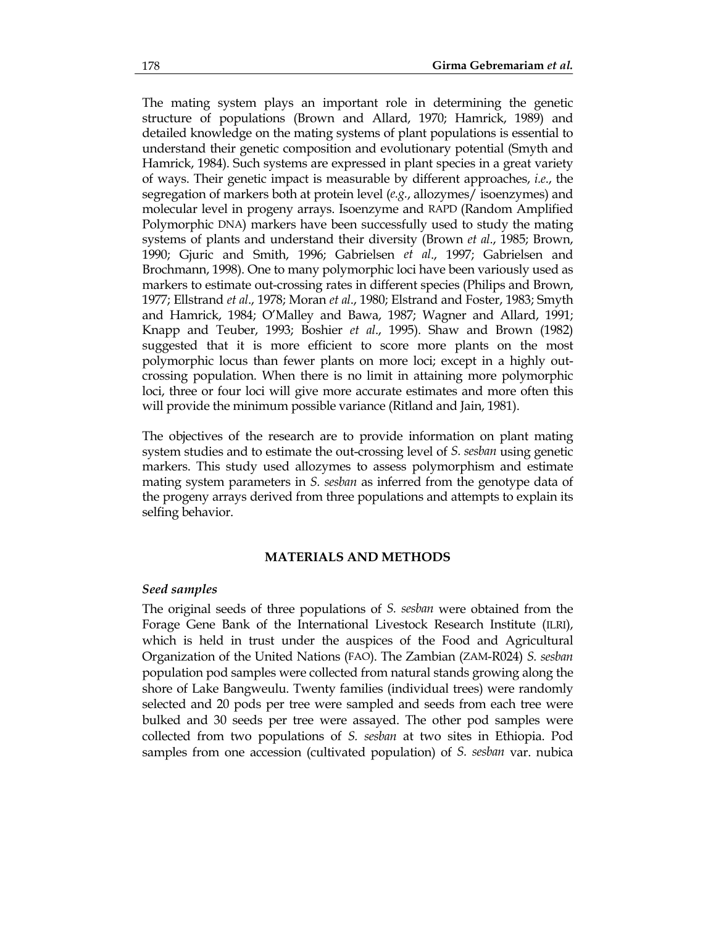The mating system plays an important role in determining the genetic structure of populations (Brown and Allard, 1970; Hamrick, 1989) and detailed knowledge on the mating systems of plant populations is essential to understand their genetic composition and evolutionary potential (Smyth and Hamrick, 1984). Such systems are expressed in plant species in a great variety of ways. Their genetic impact is measurable by different approaches, *i.e*., the segregation of markers both at protein level (*e.g.*, allozymes/ isoenzymes) and molecular level in progeny arrays. Isoenzyme and RAPD (Random Amplified Polymorphic DNA) markers have been successfully used to study the mating systems of plants and understand their diversity (Brown *et al*., 1985; Brown, 1990; Gjuric and Smith, 1996; Gabrielsen *et al*., 1997; Gabrielsen and Brochmann, 1998). One to many polymorphic loci have been variously used as markers to estimate out-crossing rates in different species (Philips and Brown, 1977; Ellstrand *et al*., 1978; Moran *et al*., 1980; Elstrand and Foster, 1983; Smyth and Hamrick, 1984; O'Malley and Bawa, 1987; Wagner and Allard, 1991; Knapp and Teuber, 1993; Boshier *et al*., 1995). Shaw and Brown (1982) suggested that it is more efficient to score more plants on the most polymorphic locus than fewer plants on more loci; except in a highly outcrossing population. When there is no limit in attaining more polymorphic loci, three or four loci will give more accurate estimates and more often this will provide the minimum possible variance (Ritland and Jain, 1981).

The objectives of the research are to provide information on plant mating system studies and to estimate the out-crossing level of *S. sesban* using genetic markers. This study used allozymes to assess polymorphism and estimate mating system parameters in *S. sesban* as inferred from the genotype data of the progeny arrays derived from three populations and attempts to explain its selfing behavior.

### **MATERIALS AND METHODS**

### *Seed samples*

The original seeds of three populations of *S. sesban* were obtained from the Forage Gene Bank of the International Livestock Research Institute (ILRI), which is held in trust under the auspices of the Food and Agricultural Organization of the United Nations (FAO). The Zambian (ZAM-R024) *S. sesban* population pod samples were collected from natural stands growing along the shore of Lake Bangweulu. Twenty families (individual trees) were randomly selected and 20 pods per tree were sampled and seeds from each tree were bulked and 30 seeds per tree were assayed. The other pod samples were collected from two populations of *S. sesban* at two sites in Ethiopia. Pod samples from one accession (cultivated population) of *S. sesban* var. nubica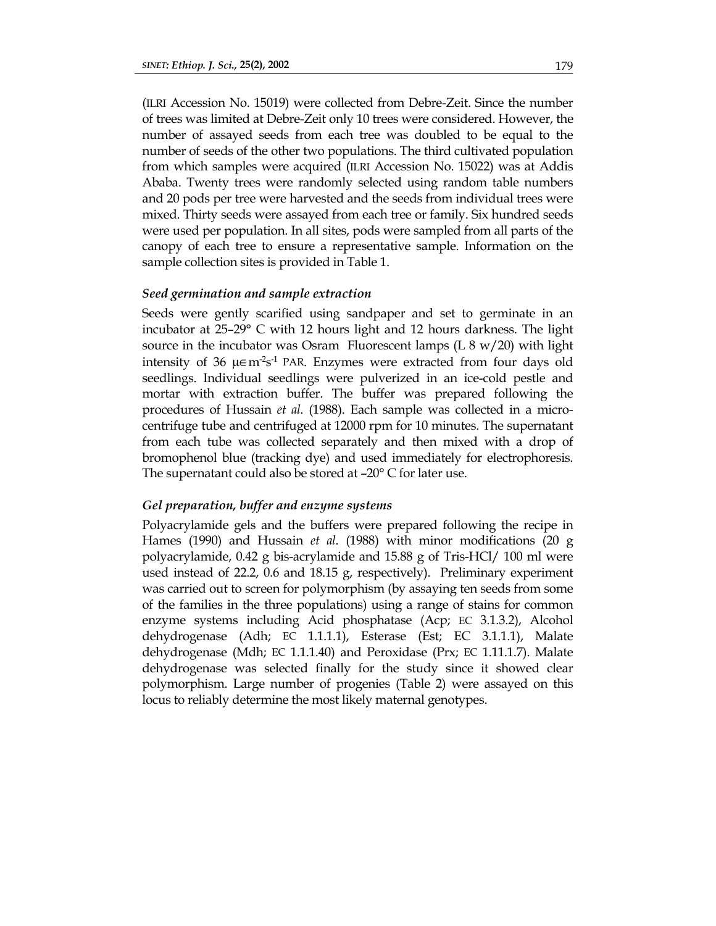(ILRI Accession No. 15019) were collected from Debre-Zeit. Since the number of trees was limited at Debre-Zeit only 10 trees were considered. However, the number of assayed seeds from each tree was doubled to be equal to the number of seeds of the other two populations. The third cultivated population from which samples were acquired (ILRI Accession No. 15022) was at Addis Ababa. Twenty trees were randomly selected using random table numbers and 20 pods per tree were harvested and the seeds from individual trees were mixed. Thirty seeds were assayed from each tree or family. Six hundred seeds were used per population. In all sites, pods were sampled from all parts of the canopy of each tree to ensure a representative sample. Information on the sample collection sites is provided in Table 1.

### *Seed germination and sample extraction*

Seeds were gently scarified using sandpaper and set to germinate in an incubator at 25–29° C with 12 hours light and 12 hours darkness. The light source in the incubator was Osram Fluorescent lamps  $(L 8 w/20)$  with light intensity of 36  $\mu \in m^2s^1$  PAR. Enzymes were extracted from four days old seedlings. Individual seedlings were pulverized in an ice-cold pestle and mortar with extraction buffer. The buffer was prepared following the procedures of Hussain *et al*. (1988). Each sample was collected in a microcentrifuge tube and centrifuged at 12000 rpm for 10 minutes. The supernatant from each tube was collected separately and then mixed with a drop of bromophenol blue (tracking dye) and used immediately for electrophoresis. The supernatant could also be stored at –20° C for later use.

### *Gel preparation, buffer and enzyme systems*

Polyacrylamide gels and the buffers were prepared following the recipe in Hames (1990) and Hussain *et al*. (1988) with minor modifications (20 g polyacrylamide, 0.42 g bis-acrylamide and 15.88 g of Tris-HCl/ 100 ml were used instead of 22.2, 0.6 and 18.15 g, respectively). Preliminary experiment was carried out to screen for polymorphism (by assaying ten seeds from some of the families in the three populations) using a range of stains for common enzyme systems including Acid phosphatase (Acp; EC 3.1.3.2), Alcohol dehydrogenase (Adh; EC 1.1.1.1), Esterase (Est; EC 3.1.1.1), Malate dehydrogenase (Mdh; EC 1.1.1.40) and Peroxidase (Prx; EC 1.11.1.7). Malate dehydrogenase was selected finally for the study since it showed clear polymorphism. Large number of progenies (Table 2) were assayed on this locus to reliably determine the most likely maternal genotypes.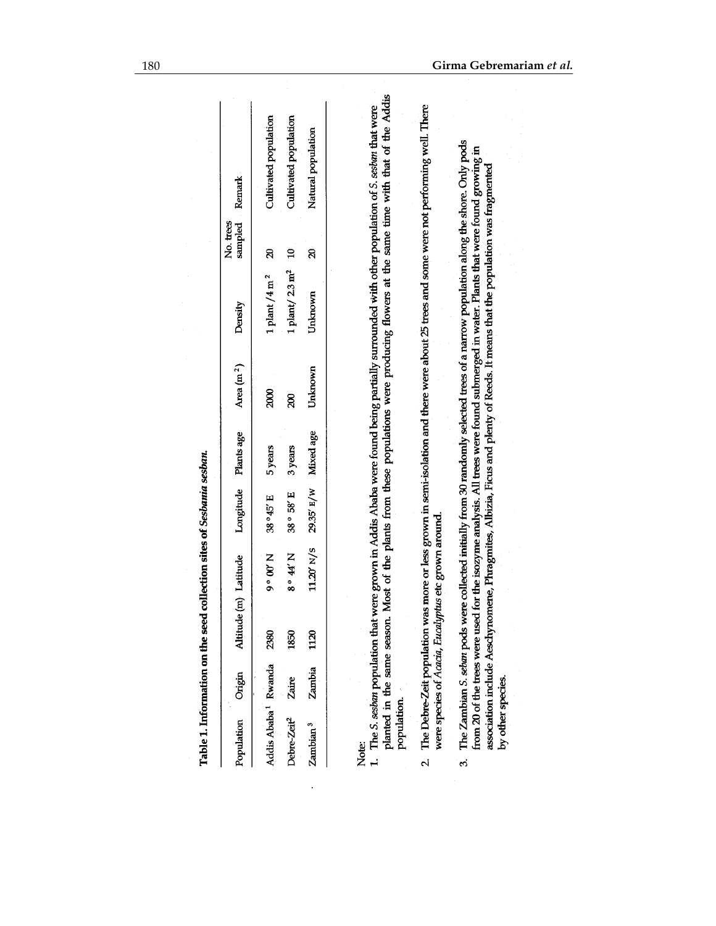| Addis Ababa <sup>1</sup> Rwanda | Zambia<br>Zaire             | 1120<br>2380<br>1850                                 | $11.20^{\circ}$ N/S<br>N.# 。8<br>9°00' | 29.35' E/W<br>38° 58' E<br>38°45'E | Mixed age<br>5 years<br>3 years | Unknown<br>2000<br>R) | 1 plant/ $2.3$ m <sup>2</sup><br>1 plant $/4$ m <sup>2</sup><br>Unknown                                                                                                                                                                                                                                                                                                       | $\mathbf{z}$<br>$\mathbf{a}$<br>ସ | Most of the plants from these populations were producing flowers at the same time with that of the Addis<br>1. The S. sestan population that were grown in Addis Ababa were found being partially surrounded with other population of S. sestan that were<br>Cultivated population<br>Cultivated population<br>Natural population |
|---------------------------------|-----------------------------|------------------------------------------------------|----------------------------------------|------------------------------------|---------------------------------|-----------------------|-------------------------------------------------------------------------------------------------------------------------------------------------------------------------------------------------------------------------------------------------------------------------------------------------------------------------------------------------------------------------------|-----------------------------------|-----------------------------------------------------------------------------------------------------------------------------------------------------------------------------------------------------------------------------------------------------------------------------------------------------------------------------------|
|                                 |                             |                                                      |                                        |                                    |                                 |                       |                                                                                                                                                                                                                                                                                                                                                                               |                                   |                                                                                                                                                                                                                                                                                                                                   |
| Debre-Zeit <sup>2</sup>         |                             |                                                      |                                        |                                    |                                 |                       |                                                                                                                                                                                                                                                                                                                                                                               |                                   |                                                                                                                                                                                                                                                                                                                                   |
| Zambian <sup>3</sup>            |                             |                                                      |                                        |                                    |                                 |                       |                                                                                                                                                                                                                                                                                                                                                                               |                                   |                                                                                                                                                                                                                                                                                                                                   |
| population.<br>Note:            | planted in the same season. |                                                      |                                        |                                    |                                 |                       |                                                                                                                                                                                                                                                                                                                                                                               |                                   |                                                                                                                                                                                                                                                                                                                                   |
|                                 |                             | were species of Acacia, Eucalyptus etc grown around. |                                        |                                    |                                 |                       |                                                                                                                                                                                                                                                                                                                                                                               |                                   | 2. The Debre-Zeit population was more or less grown in semi-isolation and there were about 25 trees and some were not performing well. There                                                                                                                                                                                      |
| by other species.<br>ය          |                             | from 20 of the trees were used                       |                                        |                                    |                                 |                       | The Zambian S. seban pods were collected initially from 30 randomly selected trees of a narrow population along the shore. Only pods<br>for the isozyme analysis. All trees were found submerged in water. Plants that were found growing in<br>association include Aeschynomene, Phragmites, Albizia, Ficus and plenty of Reeds. It means that the population was fragmented |                                   |                                                                                                                                                                                                                                                                                                                                   |

 $\mathcal{L}$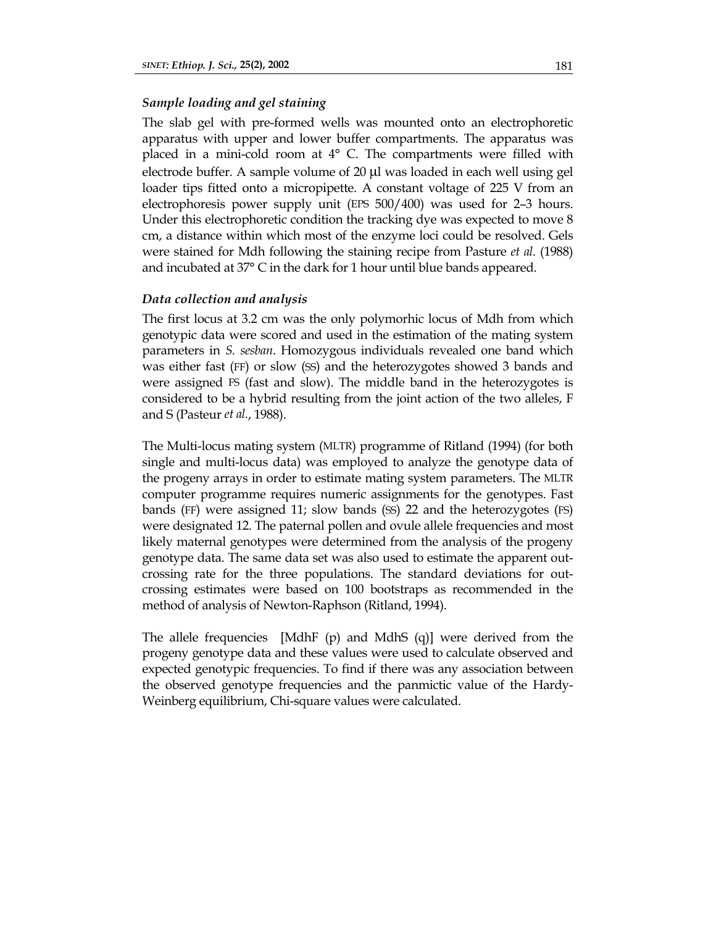## *Sample loading and gel staining*

The slab gel with pre-formed wells was mounted onto an electrophoretic apparatus with upper and lower buffer compartments. The apparatus was placed in a mini-cold room at 4° C. The compartments were filled with electrode buffer. A sample volume of 20 µl was loaded in each well using gel loader tips fitted onto a micropipette. A constant voltage of 225 V from an electrophoresis power supply unit (EPS 500/400) was used for 2–3 hours. Under this electrophoretic condition the tracking dye was expected to move 8 cm, a distance within which most of the enzyme loci could be resolved. Gels were stained for Mdh following the staining recipe from Pasture *et al.* (1988) and incubated at 37° C in the dark for 1 hour until blue bands appeared.

### *Data collection and analysis*

The first locus at 3.2 cm was the only polymorhic locus of Mdh from which genotypic data were scored and used in the estimation of the mating system parameters in *S. sesban*. Homozygous individuals revealed one band which was either fast (FF) or slow (SS) and the heterozygotes showed 3 bands and were assigned FS (fast and slow). The middle band in the heterozygotes is considered to be a hybrid resulting from the joint action of the two alleles, F and S (Pasteur *et al.*, 1988).

The Multi-locus mating system (MLTR) programme of Ritland (1994) (for both single and multi-locus data) was employed to analyze the genotype data of the progeny arrays in order to estimate mating system parameters. The MLTR computer programme requires numeric assignments for the genotypes. Fast bands (FF) were assigned 11; slow bands (SS) 22 and the heterozygotes (FS) were designated 12. The paternal pollen and ovule allele frequencies and most likely maternal genotypes were determined from the analysis of the progeny genotype data. The same data set was also used to estimate the apparent outcrossing rate for the three populations. The standard deviations for outcrossing estimates were based on 100 bootstraps as recommended in the method of analysis of Newton-Raphson (Ritland, 1994).

The allele frequencies [MdhF (p) and MdhS (q)] were derived from the progeny genotype data and these values were used to calculate observed and expected genotypic frequencies. To find if there was any association between the observed genotype frequencies and the panmictic value of the Hardy-Weinberg equilibrium, Chi-square values were calculated.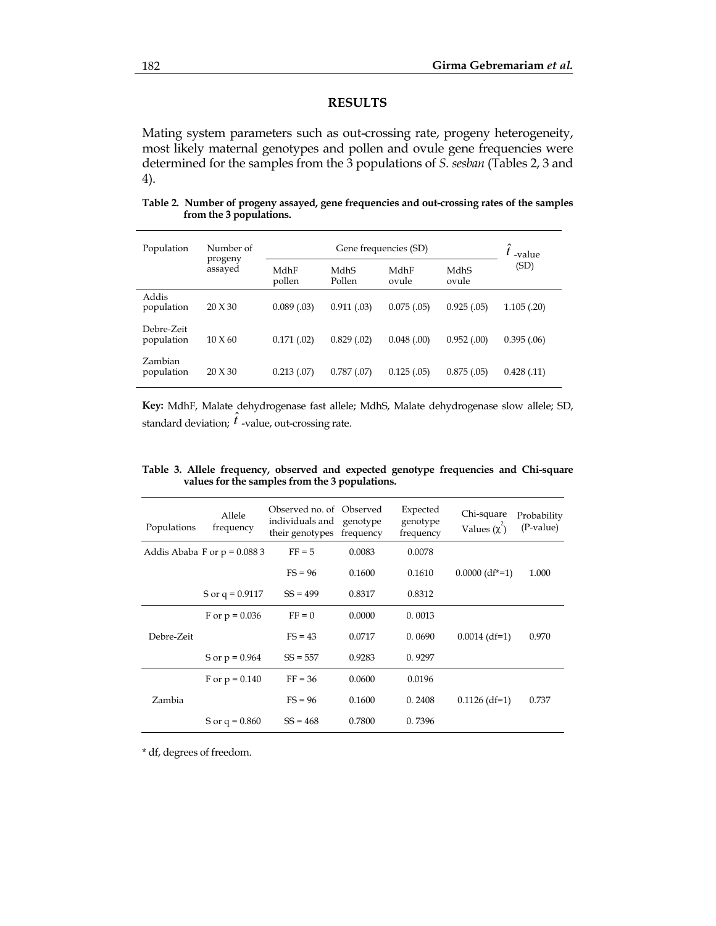## **RESULTS**

Mating system parameters such as out-crossing rate, progeny heterogeneity, most likely maternal genotypes and pollen and ovule gene frequencies were determined for the samples from the 3 populations of *S. sesban* (Tables 2, 3 and 4).

**Table 2. Number of progeny assayed, gene frequencies and out-crossing rates of the samples from the 3 populations.** 

| Population               | Number of<br>progeny<br>assayed | Gene frequencies (SD) |                |               |               | -value      |
|--------------------------|---------------------------------|-----------------------|----------------|---------------|---------------|-------------|
|                          |                                 | MdhF<br>pollen        | MdhS<br>Pollen | MdhF<br>ovule | MdhS<br>ovule | (SD)        |
| Addis<br>population      | 20 X 30                         | 0.089(0.03)           | 0.911(.03)     | 0.075(.05)    | 0.925(.05)    | 1.105(.20)  |
| Debre-Zeit<br>population | $10 \times 60$                  | 0.171(.02)            | 0.829(0.02)    | 0.048(0.00)   | 0.952(0.00)   | 0.395(.06)  |
| Zambian<br>population    | $20 \times 30$                  | 0.213(07)             | 0.787(0.07)    | 0.125(.05)    | 0.875(.05)    | 0.428(0.11) |

**Key:** MdhF, Malate dehydrogenase fast allele; MdhS, Malate dehydrogenase slow allele; SD, standard deviation;  *-value, out-crossing rate.* 

| Populations | Allele<br>frequency           | Observed no. of Observed<br>individuals and<br>their genotypes | genotype<br>frequency | Expected<br>genotype<br>frequency | Chi-square<br>Values $(\chi^2)$ | Probability<br>(P-value) |
|-------------|-------------------------------|----------------------------------------------------------------|-----------------------|-----------------------------------|---------------------------------|--------------------------|
|             | Addis Ababa F or $p = 0.0883$ | $FF = 5$                                                       | 0.0083                | 0.0078                            |                                 |                          |
|             |                               | $FS = 96$                                                      | 0.1600                | 0.1610                            | $0.0000$ (df <sup>*</sup> =1)   | 1.000                    |
|             | S or $q = 0.9117$             | $SS = 499$                                                     | 0.8317                | 0.8312                            |                                 |                          |
|             | F or $p = 0.036$              | $FF = 0$                                                       | 0.0000                | 0.0013                            |                                 |                          |
| Debre-Zeit  |                               | $FS = 43$                                                      | 0.0717                | 0.0690                            | $0.0014$ (df=1)                 | 0.970                    |
|             | S or $p = 0.964$              | $SS = 557$                                                     | 0.9283                | 0.9297                            |                                 |                          |
| Zambia      | F or $p = 0.140$              | $FF = 36$                                                      | 0.0600                | 0.0196                            |                                 |                          |
|             |                               | $FS = 96$                                                      | 0.1600                | 0.2408                            | $0.1126$ (df=1)                 | 0.737                    |
|             | S or $q = 0.860$              | $SS = 468$                                                     | 0.7800                | 0.7396                            |                                 |                          |

**Table 3. Allele frequency, observed and expected genotype frequencies and Chi-square values for the samples from the 3 populations.**

\* df, degrees of freedom.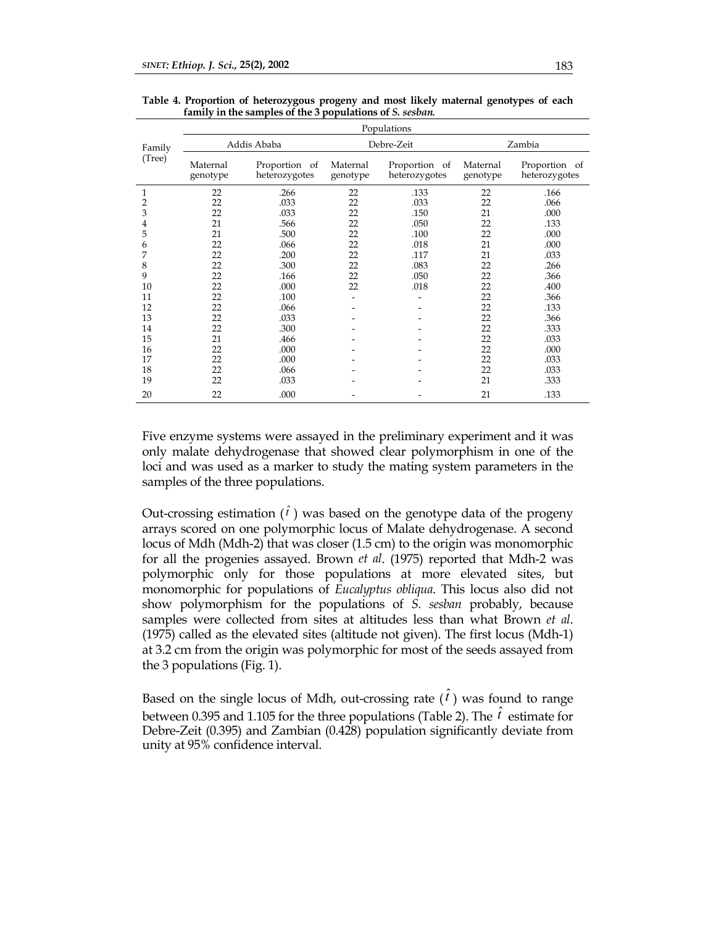|        | Populations          |                                |                          |                                |                      |                                |  |  |
|--------|----------------------|--------------------------------|--------------------------|--------------------------------|----------------------|--------------------------------|--|--|
| Family | Addis Ababa          |                                |                          | Debre-Zeit                     | Zambia               |                                |  |  |
| (Tree) | Maternal<br>genotype | Proportion of<br>heterozygotes | Maternal<br>genotype     | Proportion of<br>heterozygotes | Maternal<br>genotype | Proportion of<br>heterozygotes |  |  |
| 1      | 22                   | .266                           | 22                       | .133                           | 22                   | .166                           |  |  |
| 2      | 22                   | .033                           | 22                       | .033                           | 22                   | .066                           |  |  |
| 3      | 22                   | .033                           | 22                       | .150                           | 21                   | .000                           |  |  |
| 4      | 21                   | .566                           | 22                       | .050                           | 22                   | .133                           |  |  |
| 5      | 21                   | .500                           | 22                       | .100                           | 22                   | .000                           |  |  |
| 6      | 22                   | .066                           | 22                       | .018                           | 21                   | .000                           |  |  |
| 7      | 22                   | .200                           | 22                       | .117                           | 21                   | .033                           |  |  |
| 8      | 22                   | .300                           | 22                       | .083                           | 22                   | .266                           |  |  |
| 9      | 22                   | .166                           | 22                       | .050                           | 22                   | .366                           |  |  |
| 10     | 22                   | .000                           | 22                       | .018                           | 22                   | .400                           |  |  |
| 11     | 22                   | .100                           | $\overline{\phantom{0}}$ |                                | 22                   | .366                           |  |  |
| 12     | 22                   | .066                           |                          |                                | 22                   | .133                           |  |  |
| 13     | 22                   | .033                           |                          |                                | 22                   | .366                           |  |  |
| 14     | 22                   | .300                           |                          |                                | 22                   | .333                           |  |  |
| 15     | 21                   | .466                           |                          |                                | 22                   | .033                           |  |  |
| 16     | 22                   | .000                           |                          |                                | 22                   | .000                           |  |  |
| 17     | 22                   | .000                           |                          |                                | 22                   | .033                           |  |  |
| 18     | 22                   | .066                           |                          |                                | 22                   | .033                           |  |  |
| 19     | 22                   | .033                           |                          |                                | 21                   | .333                           |  |  |
| 20     | 22                   | .000                           |                          |                                | 21                   | .133                           |  |  |

**Table 4. Proportion of heterozygous progeny and most likely maternal genotypes of each family in the samples of the 3 populations of** *S. sesban.*

Five enzyme systems were assayed in the preliminary experiment and it was only malate dehydrogenase that showed clear polymorphism in one of the loci and was used as a marker to study the mating system parameters in the samples of the three populations.

Out-crossing estimation  $(\hat{i})$  was based on the genotype data of the progeny arrays scored on one polymorphic locus of Malate dehydrogenase. A second locus of Mdh (Mdh-2) that was closer (1.5 cm) to the origin was monomorphic for all the progenies assayed. Brown *et al*. (1975) reported that Mdh-2 was polymorphic only for those populations at more elevated sites, but monomorphic for populations of *Eucalyptus obliqua*. This locus also did not show polymorphism for the populations of *S. sesban* probably, because samples were collected from sites at altitudes less than what Brown *et al*. (1975) called as the elevated sites (altitude not given). The first locus (Mdh-1) at 3.2 cm from the origin was polymorphic for most of the seeds assayed from the 3 populations (Fig. 1).

Based on the single locus of Mdh, out-crossing rate  $(\hat{t})$  was found to range between 0.395 and 1.105 for the three populations (Table 2). The  $\hat{t}$  estimate for Debre-Zeit (0.395) and Zambian (0.428) population significantly deviate from unity at 95% confidence interval.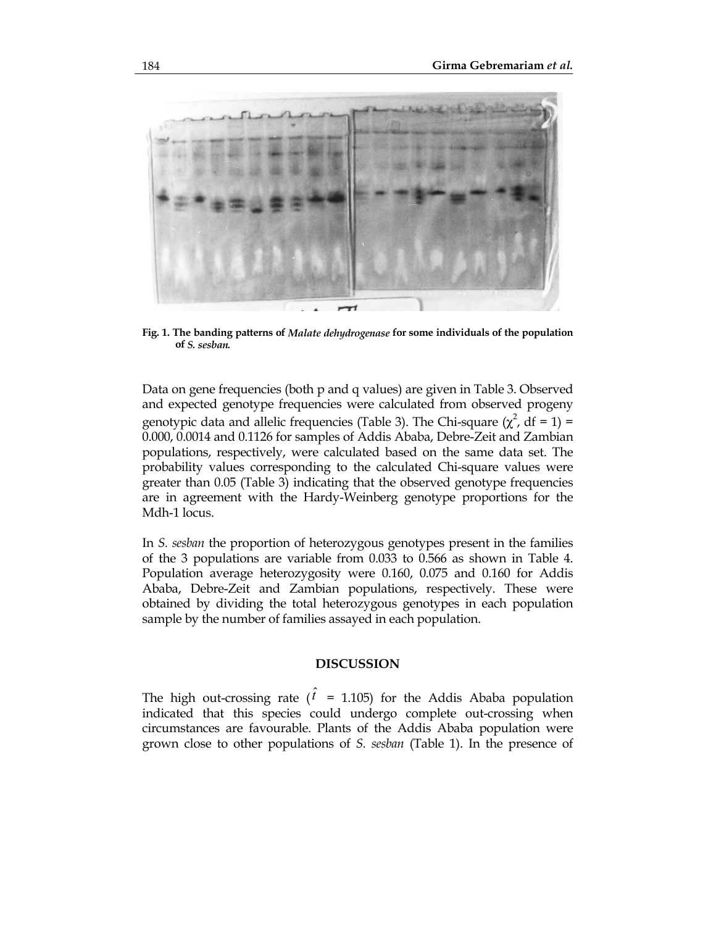

**Fig. 1. The banding patterns of** *Malate dehydrogenase* **for some individuals of the population of** *S. sesban.*

Data on gene frequencies (both p and q values) are given in Table 3. Observed and expected genotype frequencies were calculated from observed progeny genotypic data and allelic frequencies (Table 3). The Chi-square  $(\chi^2$ , df = 1) = 0.000, 0.0014 and 0.1126 for samples of Addis Ababa, Debre-Zeit and Zambian populations, respectively, were calculated based on the same data set. The probability values corresponding to the calculated Chi-square values were greater than 0.05 (Table 3) indicating that the observed genotype frequencies are in agreement with the Hardy-Weinberg genotype proportions for the Mdh-1 locus.

In *S. sesban* the proportion of heterozygous genotypes present in the families of the 3 populations are variable from 0.033 to 0.566 as shown in Table 4. Population average heterozygosity were 0.160, 0.075 and 0.160 for Addis Ababa, Debre-Zeit and Zambian populations, respectively. These were obtained by dividing the total heterozygous genotypes in each population sample by the number of families assayed in each population.

## **DISCUSSION**

The high out-crossing rate ( $\hat{t}$  = 1.105) for the Addis Ababa population indicated that this species could undergo complete out-crossing when circumstances are favourable. Plants of the Addis Ababa population were grown close to other populations of *S. sesban* (Table 1). In the presence of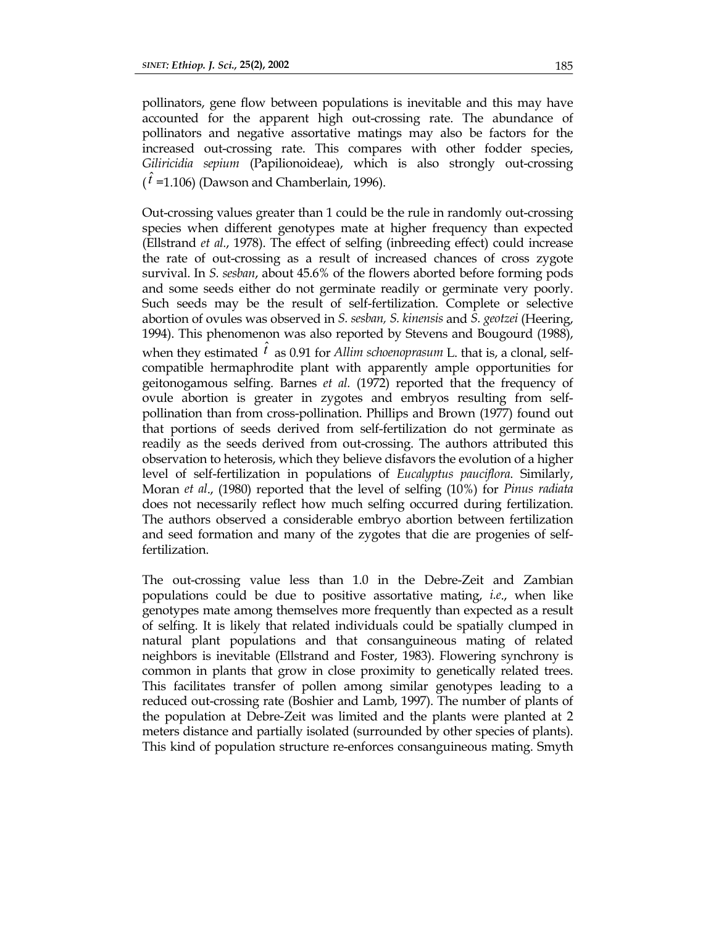pollinators, gene flow between populations is inevitable and this may have accounted for the apparent high out-crossing rate. The abundance of pollinators and negative assortative matings may also be factors for the increased out-crossing rate. This compares with other fodder species, *Giliricidia sepium* (Papilionoideae), which is also strongly out-crossing  $(t = 1.106)$  (Dawson and Chamberlain, 1996).

when they estimated  $\hat{t}$  as 0.91 for *Allim schoenoprasum* L. that is, a clonal, self-Out-crossing values greater than 1 could be the rule in randomly out-crossing species when different genotypes mate at higher frequency than expected (Ellstrand *et al.*, 1978). The effect of selfing (inbreeding effect) could increase the rate of out-crossing as a result of increased chances of cross zygote survival. In *S. sesban*, about 45.6% of the flowers aborted before forming pods and some seeds either do not germinate readily or germinate very poorly. Such seeds may be the result of self-fertilization. Complete or selective abortion of ovules was observed in *S. sesban, S. kinensis* and *S. geotzei* (Heering, 1994). This phenomenon was also reported by Stevens and Bougourd (1988), compatible hermaphrodite plant with apparently ample opportunities for geitonogamous selfing. Barnes *et al.* (1972) reported that the frequency of ovule abortion is greater in zygotes and embryos resulting from selfpollination than from cross-pollination. Phillips and Brown (1977) found out that portions of seeds derived from self-fertilization do not germinate as readily as the seeds derived from out-crossing. The authors attributed this observation to heterosis, which they believe disfavors the evolution of a higher level of self-fertilization in populations of *Eucalyptus pauciflora*. Similarly, Moran *et al*., (1980) reported that the level of selfing (10%) for *Pinus radiata* does not necessarily reflect how much selfing occurred during fertilization. The authors observed a considerable embryo abortion between fertilization and seed formation and many of the zygotes that die are progenies of selffertilization.

The out-crossing value less than 1.0 in the Debre-Zeit and Zambian populations could be due to positive assortative mating, *i.e*., when like genotypes mate among themselves more frequently than expected as a result of selfing. It is likely that related individuals could be spatially clumped in natural plant populations and that consanguineous mating of related neighbors is inevitable (Ellstrand and Foster, 1983). Flowering synchrony is common in plants that grow in close proximity to genetically related trees. This facilitates transfer of pollen among similar genotypes leading to a reduced out-crossing rate (Boshier and Lamb, 1997). The number of plants of the population at Debre-Zeit was limited and the plants were planted at 2 meters distance and partially isolated (surrounded by other species of plants). This kind of population structure re-enforces consanguineous mating. Smyth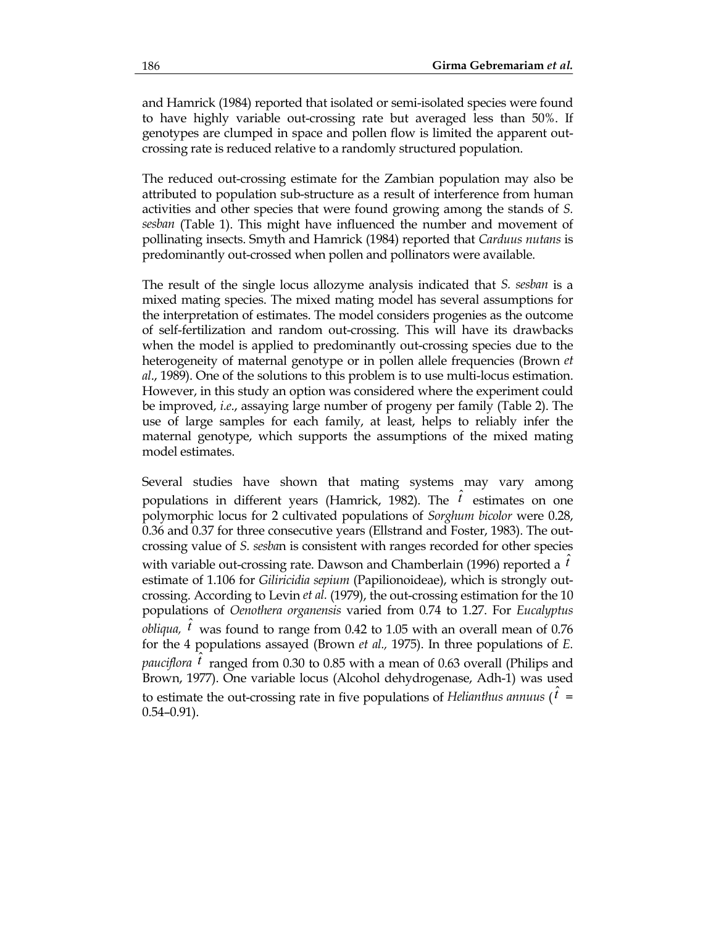and Hamrick (1984) reported that isolated or semi-isolated species were found to have highly variable out-crossing rate but averaged less than 50%. If genotypes are clumped in space and pollen flow is limited the apparent outcrossing rate is reduced relative to a randomly structured population.

The reduced out-crossing estimate for the Zambian population may also be attributed to population sub-structure as a result of interference from human activities and other species that were found growing among the stands of *S. sesban* (Table 1). This might have influenced the number and movement of pollinating insects. Smyth and Hamrick (1984) reported that *Carduus nutans* is predominantly out-crossed when pollen and pollinators were available.

The result of the single locus allozyme analysis indicated that *S. sesban* is a mixed mating species. The mixed mating model has several assumptions for the interpretation of estimates. The model considers progenies as the outcome of self-fertilization and random out-crossing. This will have its drawbacks when the model is applied to predominantly out-crossing species due to the heterogeneity of maternal genotype or in pollen allele frequencies (Brown *et al*., 1989). One of the solutions to this problem is to use multi-locus estimation. However, in this study an option was considered where the experiment could be improved, *i.e*., assaying large number of progeny per family (Table 2). The use of large samples for each family, at least, helps to reliably infer the maternal genotype, which supports the assumptions of the mixed mating model estimates.

Several studies have shown that mating systems may vary among populations in different years (Hamrick, 1982). The  $\hat{t}$  estimates on one polymorphic locus for 2 cultivated populations of *Sorghum bicolor* were 0.28, 0.36 and 0.37 for three consecutive years (Ellstrand and Foster, 1983). The outcrossing value of *S. sesba*n is consistent with ranges recorded for other species with variable out-crossing rate. Dawson and Chamberlain (1996) reported a  $\hat{t}$ estimate of 1.106 for *Giliricidia sepium* (Papilionoideae), which is strongly outcrossing. According to Levin *et al.* (1979), the out-crossing estimation for the 10 populations of *Oenothera organensis* varied from 0.74 to 1.27. For *Eucalyptus obliqua,*  $\hat{i}$  was found to range from 0.42 to 1.05 with an overall mean of 0.76 for the 4 populations assayed (Brown *et al.,* 1975). In three populations of *E. pauciflora*  $\hat{i}$  ranged from 0.30 to 0.85 with a mean of 0.63 overall (Philips and Brown, 1977). One variable locus (Alcohol dehydrogenase, Adh-1) was used to estimate the out-crossing rate in five populations of *Helianthus annuus* ( $\hat{t}$  = 0.54–0.91).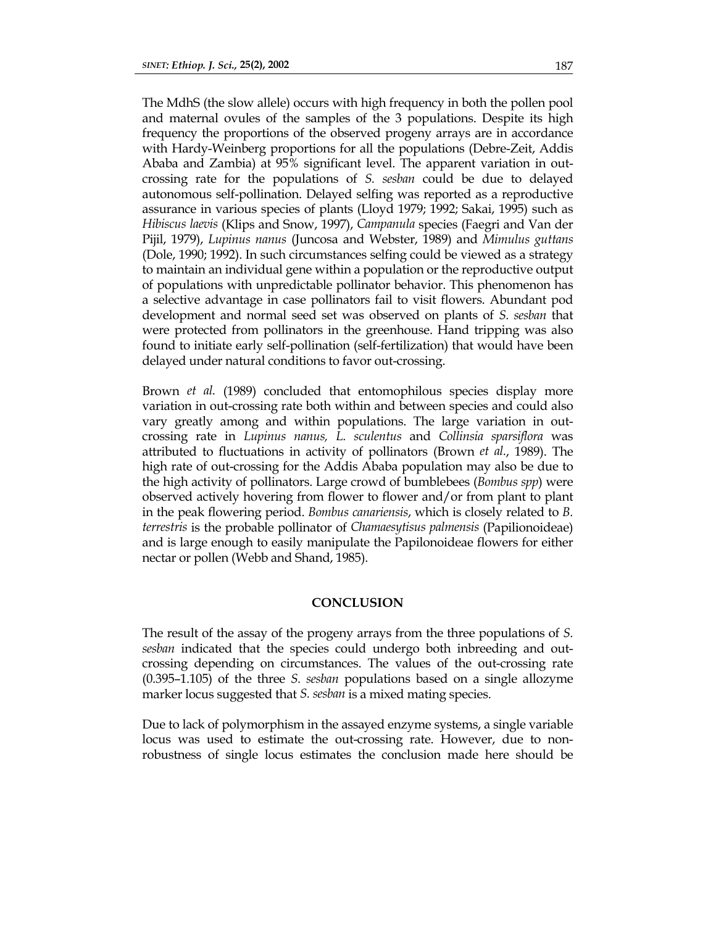The MdhS (the slow allele) occurs with high frequency in both the pollen pool and maternal ovules of the samples of the 3 populations. Despite its high frequency the proportions of the observed progeny arrays are in accordance with Hardy-Weinberg proportions for all the populations (Debre-Zeit, Addis Ababa and Zambia) at 95% significant level. The apparent variation in outcrossing rate for the populations of *S. sesban* could be due to delayed autonomous self-pollination. Delayed selfing was reported as a reproductive assurance in various species of plants (Lloyd 1979; 1992; Sakai, 1995) such as *Hibiscus laevis* (Klips and Snow, 1997), *Campanula* species (Faegri and Van der Pijil, 1979), *Lupinus nanus* (Juncosa and Webster, 1989) and *Mimulus guttans* (Dole, 1990; 1992). In such circumstances selfing could be viewed as a strategy to maintain an individual gene within a population or the reproductive output of populations with unpredictable pollinator behavior. This phenomenon has a selective advantage in case pollinators fail to visit flowers. Abundant pod development and normal seed set was observed on plants of *S. sesban* that were protected from pollinators in the greenhouse. Hand tripping was also found to initiate early self-pollination (self-fertilization) that would have been delayed under natural conditions to favor out-crossing.

Brown *et al.* (1989) concluded that entomophilous species display more variation in out-crossing rate both within and between species and could also vary greatly among and within populations. The large variation in outcrossing rate in *Lupinus nanus, L. sculentus* and *Collinsia sparsiflora* was attributed to fluctuations in activity of pollinators (Brown *et al.*, 1989). The high rate of out-crossing for the Addis Ababa population may also be due to the high activity of pollinators. Large crowd of bumblebees (*Bombus spp*) were observed actively hovering from flower to flower and/or from plant to plant in the peak flowering period. *Bombus canariensis*, which is closely related to *B. terrestris* is the probable pollinator of *Chamaesytisus palmensis* (Papilionoideae) and is large enough to easily manipulate the Papilonoideae flowers for either nectar or pollen (Webb and Shand, 1985).

### **CONCLUSION**

The result of the assay of the progeny arrays from the three populations of *S. sesban* indicated that the species could undergo both inbreeding and outcrossing depending on circumstances. The values of the out-crossing rate (0.395–1.105) of the three *S. sesban* populations based on a single allozyme marker locus suggested that *S. sesban* is a mixed mating species.

Due to lack of polymorphism in the assayed enzyme systems, a single variable locus was used to estimate the out-crossing rate. However, due to nonrobustness of single locus estimates the conclusion made here should be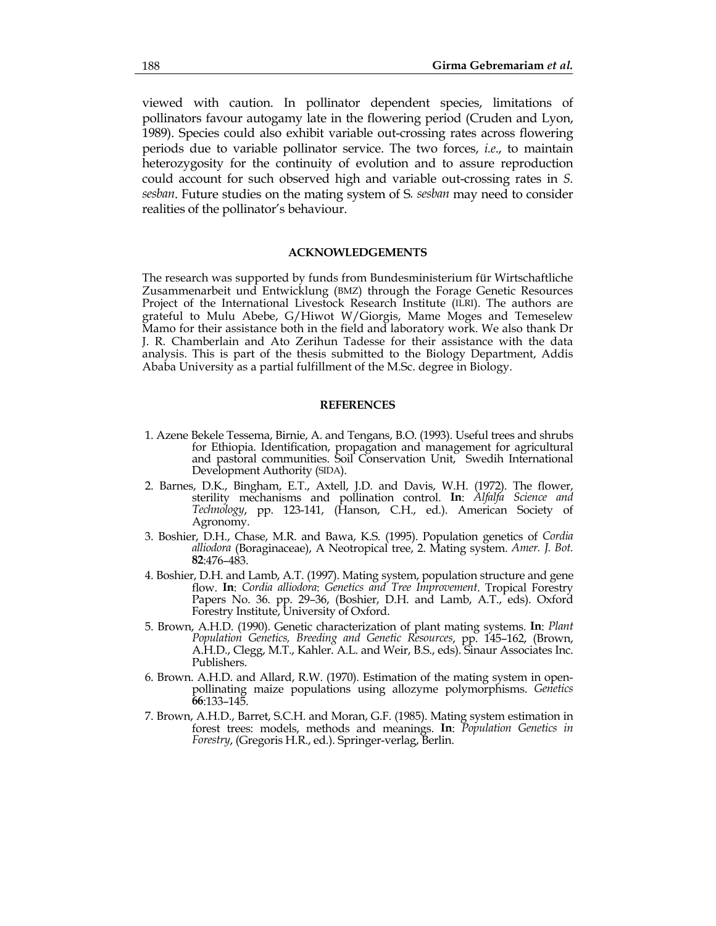viewed with caution. In pollinator dependent species, limitations of pollinators favour autogamy late in the flowering period (Cruden and Lyon, 1989). Species could also exhibit variable out-crossing rates across flowering periods due to variable pollinator service. The two forces, *i.e*., to maintain heterozygosity for the continuity of evolution and to assure reproduction could account for such observed high and variable out-crossing rates in *S. sesban*. Future studies on the mating system of S*. sesban* may need to consider realities of the pollinator's behaviour.

#### **ACKNOWLEDGEMENTS**

The research was supported by funds from Bundesministerium für Wirtschaftliche Zusammenarbeit und Entwicklung (BMZ) through the Forage Genetic Resources Project of the International Livestock Research Institute (ILRI). The authors are grateful to Mulu Abebe, G/Hiwot W/Giorgis, Mame Moges and Temeselew Mamo for their assistance both in the field and laboratory work. We also thank Dr J. R. Chamberlain and Ato Zerihun Tadesse for their assistance with the data analysis. This is part of the thesis submitted to the Biology Department, Addis Ababa University as a partial fulfillment of the M.Sc. degree in Biology.

#### **REFERENCES**

- 1. Azene Bekele Tessema, Birnie, A. and Tengans, B.O. (1993). Useful trees and shrubs for Ethiopia. Identification, propagation and management for agricultural and pastoral communities. Soil Conservation Unit, Swedih International Development Authority (SIDA).
- 2. Barnes, D.K., Bingham, E.T., Axtell, J.D. and Davis, W.H. (1972). The flower, sterility mechanisms and pollination control. **In**: *Alfalfa Science and Technology*, pp. 123-141, (Hanson, C.H., ed.). American Society of Agronomy.
- 3. Boshier, D.H., Chase, M.R. and Bawa, K.S. (1995). Population genetics of *Cordia alliodora* (Boraginaceae), A Neotropical tree, 2. Mating system. *Amer. J. Bot.* **82**:476–483.
- 4. Boshier, D.H. and Lamb, A.T. (1997). Mating system, population structure and gene flow. **In**: *Cordia alliodora*: *Genetics and Tree Improvement*. Tropical Forestry Papers No. 36. pp. 29–36, (Boshier, D.H. and Lamb, A.T., eds). Oxford Forestry Institute, University of Oxford.
- 5. Brown, A.H.D. (1990). Genetic characterization of plant mating systems. **In**: *Plant Population Genetics, Breeding and Genetic Resources*, pp. 145–162, (Brown, A.H.D., Clegg, M.T., Kahler. A.L. and Weir, B.S., eds). Sinaur Associates Inc. Publishers.
- 6. Brown. A.H.D. and Allard, R.W. (1970). Estimation of the mating system in openpollinating maize populations using allozyme polymorphisms. *Genetics* **66**:133–145.
- 7. Brown, A.H.D., Barret, S.C.H. and Moran, G.F. (1985). Mating system estimation in forest trees: models, methods and meanings. **In**: *Population Genetics in Forestry*, (Gregoris H.R., ed.). Springer-verlag, Berlin.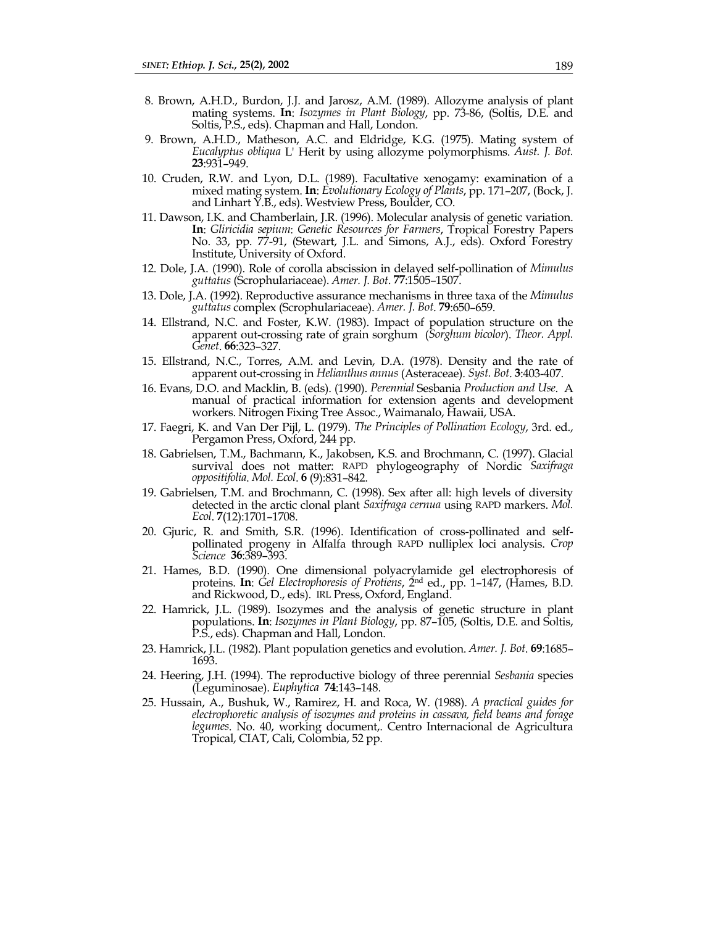- 8. Brown, A.H.D., Burdon, J.J. and Jarosz, A.M. (1989). Allozyme analysis of plant mating systems. **In**: *Isozymes in Plant Biology*, pp. 73-86, (Soltis, D.E. and Soltis, P.S., eds). Chapman and Hall, London.
- 9. Brown, A.H.D., Matheson, A.C. and Eldridge, K.G. (1975). Mating system of *Eucalyptus obliqua* L' Herit by using allozyme polymorphisms. *Aust. J. Bot.* **23**:931–949.
- 10. Cruden, R.W. and Lyon, D.L. (1989). Facultative xenogamy: examination of a mixed mating system. **In**: *Evolutionary Ecology of Plants*, pp. 171–207, (Bock, J. and Linhart Y.B., eds). Westview Press, Boulder, CO.
- 11. Dawson, I.K. and Chamberlain, J.R. (1996). Molecular analysis of genetic variation. **In**: *Gliricidia sepium*: *Genetic Resources for Farmers*, Tropical Forestry Papers No. 33, pp. 77-91, (Stewart, J.L. and Simons, A.J., eds). Oxford Forestry Institute, University of Oxford.
- 12. Dole, J.A. (1990). Role of corolla abscission in delayed self-pollination of *Mimulus guttatus* (Scrophulariaceae). *Amer. J. Bot*. **77**:1505–1507.
- 13. Dole, J.A. (1992). Reproductive assurance mechanisms in three taxa of the *Mimulus guttatus* complex (Scrophulariaceae). *Amer. J. Bot*. **79**:650–659.
- 14. Ellstrand, N.C. and Foster, K.W. (1983). Impact of population structure on the apparent out-crossing rate of grain sorghum (*Sorghum bicolor*). *Theor. Appl. Genet*. **66**:323–327.
- 15. Ellstrand, N.C., Torres, A.M. and Levin, D.A. (1978). Density and the rate of apparent out-crossing in *Helianthus annus* (Asteraceae). *Syst. Bot*. **3**:403-407.
- 16. Evans, D.O. and Macklin, B. (eds). (1990). *Perennial* Sesbania *Production and Use*. A manual of practical information for extension agents and development workers. Nitrogen Fixing Tree Assoc., Waimanalo, Hawaii, USA.
- 17. Faegri, K. and Van Der Pijl, L. (1979). *The Principles of Pollination Ecology*, 3rd. ed., Pergamon Press, Oxford, 244 pp.
- 18. Gabrielsen, T.M., Bachmann, K., Jakobsen, K.S. and Brochmann, C. (1997). Glacial survival does not matter: RAPD phylogeography of Nordic *Saxifraga oppositifolia*. *Mol. Ecol*. **6** (9):831–842.
- 19. Gabrielsen, T.M. and Brochmann, C. (1998). Sex after all: high levels of diversity detected in the arctic clonal plant *Saxifraga cernua* using RAPD markers. *Mol. Ecol*. **7**(12):1701–1708.
- 20. Gjuric, R. and Smith, S.R. (1996). Identification of cross-pollinated and selfpollinated progeny in Alfalfa through RAPD nulliplex loci analysis. *Crop Science* **36**:389–393.
- 21. Hames, B.D. (1990). One dimensional polyacrylamide gel electrophoresis of proteins. **In**: *Gel Electrophoresis of Protiens*, 2nd ed., pp. 1–147, (Hames, B.D. and Rickwood, D., eds). IRL Press, Oxford, England.
- 22. Hamrick, J.L. (1989). Isozymes and the analysis of genetic structure in plant populations. **In**: *Isozymes in Plant Biology*, pp. 87–105, (Soltis, D.E. and Soltis, P.S., eds). Chapman and Hall, London.
- 23. Hamrick, J.L. (1982). Plant population genetics and evolution. *Amer. J. Bot*. **69**:1685– 1693.
- 24. Heering, J.H. (1994). The reproductive biology of three perennial *Sesbania* species (Leguminosae). *Euphytica* **74**:143–148.
- 25. Hussain, A., Bushuk, W., Ramirez, H. and Roca, W. (1988). *A practical guides for electrophoretic analysis of isozymes and proteins in cassava, field beans and forage legumes*. No. 40, working document,. Centro Internacional de Agricultura Tropical, CIAT, Cali, Colombia, 52 pp.